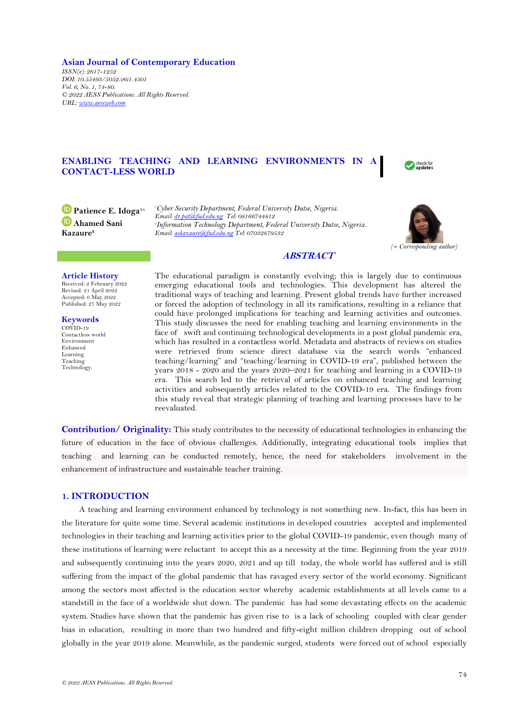**Asian Journal of Contemporary Education** *ISSN(e): 2617-1252 DOI: 10.55493/5052.v6i1.4501 Vol. 6, No. 1, 74-80. © 2022 AESS Publications. All Rights Reserved. URL: [www.aessweb.com](http://www.aessweb.com/)*

# **ENABLING TEACHING AND LEARNING ENVIRONMENTS IN CONTACT-LESS WORLD**



**Patience E. Idoga1+ Ahamed Sani Kazaure<sup>2</sup>**

*<sup>1</sup>Cyber Security Department, Federal University Dutse, Nigeria. Email[: dr.pat@fud.edu.ng](mailto:dr.pat@fud.edu.ng) Tel: 08166744812 2 Information Technology Department, Federal University Dutse, Nigeria. Email[: askazaure@fud.edu.ng](mailto:askazaure@fud.edu.ng) Tel: 07032879532*



# **ABSTRACT**

# **Article History**

Received: 2 February 2022 Revised: 21 April 2022 Accepted: 6 May 2022 Published: 27 May 2022

**Keywords** COVID-19 Contactless world Environment Enhanced Learning Teaching Technology.

The educational paradigm is constantly evolving; this is largely due to continuous emerging educational tools and technologies. This development has altered the traditional ways of teaching and learning. Present global trends have further increased or forced the adoption of technology in all its ramifications, resulting in a reliance that could have prolonged implications for teaching and learning activities and outcomes. This study discusses the need for enabling teaching and learning environments in the face of swift and continuing technological developments in a post global pandemic era, which has resulted in a contactless world. Metadata and abstracts of reviews on studies were retrieved from science direct database via the search words "enhanced teaching/learning" and "teaching/learning in COVID-19 era", published between the years 2018 - 2020 and the years 2020–2021 for teaching and learning in a COVID-19 era. This search led to the retrieval of articles on enhanced teaching and learning activities and subsequently articles related to the COVID-19 era. The findings from this study reveal that strategic planning of teaching and learning processes have to be reevaluated.

**Contribution/ Originality:** This study contributes to the necessity of educational technologies in enhancing the future of education in the face of obvious challenges. Additionally, integrating educational tools implies that teaching and learning can be conducted remotely, hence, the need for stakeholders involvement in the enhancement of infrastructure and sustainable teacher training.

## **1. INTRODUCTION**

A teaching and learning environment enhanced by technology is not something new. In-fact, this has been in the literature for quite some time. Several academic institutions in developed countries accepted and implemented technologies in their teaching and learning activities prior to the global COVID-19 pandemic, even though many of these institutions of learning were reluctant to accept this as a necessity at the time. Beginning from the year 2019 and subsequently continuing into the years 2020, 2021 and up till today, the whole world has suffered and is still suffering from the impact of the global pandemic that has ravaged every sector of the world economy. Significant among the sectors most affected is the education sector whereby academic establishments at all levels came to a standstill in the face of a worldwide shut down. The pandemic has had some devastating effects on the academic system. Studies have shown that the pandemic has given rise to is a lack of schooling coupled with clear gender bias in education, resulting in more than two hundred and fifty-eight million children dropping out of school globally in the year 2019 alone. Meanwhile, as the pandemic surged, students were forced out of school especially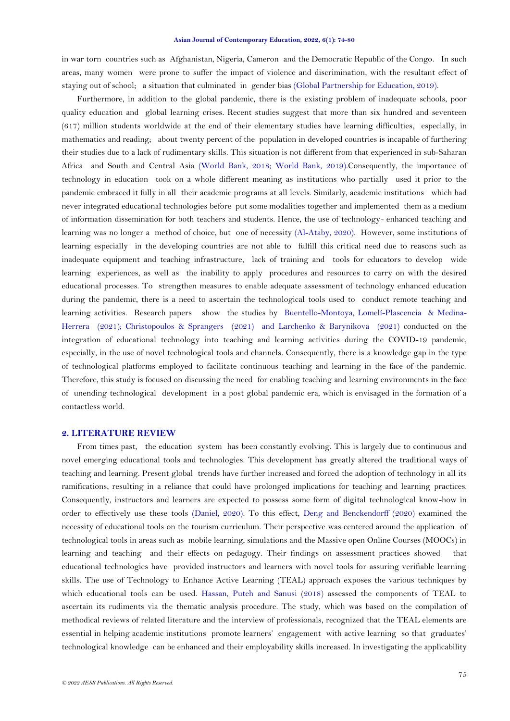#### **Asian Journal of Contemporary Education, 2022, 6(1): 74-80**

in war torn countries such as Afghanistan, Nigeria, Cameron and the Democratic Republic of the Congo. In such areas, many women were prone to suffer the impact of violence and discrimination, with the resultant effect of staying out of school; a situation that culminated in gender bias [\(Global Partnership for Education, 2019\)](#page-6-0).

Furthermore, in addition to the global pandemic, there is the existing problem of inadequate schools, poor quality education and global learning crises. Recent studies suggest that more than six hundred and seventeen (617) million students worldwide at the end of their elementary studies have learning difficulties, especially, in mathematics and reading; about twenty percent of the population in developed countries is incapable of furthering their studies due to a lack of rudimentary skills. This situation is not different from that experienced in sub-Saharan Africa and South and Central Asia [\(World Bank, 2018;](#page-6-1) [World Bank, 2019\)](#page-6-2).Consequently, the importance of technology in education took on a whole different meaning as institutions who partially used it prior to the pandemic embraced it fully in all their academic programs at all levels. Similarly, academic institutions which had never integrated educational technologies before put some modalities together and implemented them as a medium of information dissemination for both teachers and students. Hence, the use of technology- enhanced teaching and learning was no longer a method of choice, but one of necessity [\(Al-Ataby, 2020\)](#page-5-0). However, some institutions of learning especially in the developing countries are not able to fulfill this critical need due to reasons such as inadequate equipment and teaching infrastructure, lack of training and tools for educators to develop wide learning experiences, as well as the inability to apply procedures and resources to carry on with the desired educational processes. To strengthen measures to enable adequate assessment of technology enhanced education during the pandemic, there is a need to ascertain the technological tools used to conduct remote teaching and learning activities. Research papers show the studies by [Buentello-Montoya, Lomelí-Plascencia](#page-5-1) & Medina-[Herrera](#page-5-1) (2021); [Christopoulos & Sprangers](#page-5-2) (2021) and [Larchenko & Barynikova](#page-6-3) (2021) conducted on the integration of educational technology into teaching and learning activities during the COVID-19 pandemic, especially, in the use of novel technological tools and channels. Consequently, there is a knowledge gap in the type of technological platforms employed to facilitate continuous teaching and learning in the face of the pandemic. Therefore, this study is focused on discussing the need for enabling teaching and learning environments in the face of unending technological development in a post global pandemic era, which is envisaged in the formation of a contactless world.

#### **2. LITERATURE REVIEW**

From times past, the education system has been constantly evolving. This is largely due to continuous and novel emerging educational tools and technologies. This development has greatly altered the traditional ways of teaching and learning. Present global trends have further increased and forced the adoption of technology in all its ramifications, resulting in a reliance that could have prolonged implications for teaching and learning practices. Consequently, instructors and learners are expected to possess some form of digital technological know-how in order to effectively use these tools [\(Daniel, 2020\)](#page-5-3). To this effect, [Deng and Benckendorff \(2020\)](#page-5-4) examined the necessity of educational tools on the tourism curriculum. Their perspective was centered around the application of technological tools in areas such as mobile learning, simulations and the Massive open Online Courses (MOOCs) in learning and teaching and their effects on pedagogy. Their findings on assessment practices showed that educational technologies have provided instructors and learners with novel tools for assuring verifiable learning skills. The use of Technology to Enhance Active Learning (TEAL) approach exposes the various techniques by which educational tools can be used. Hassan, Puteh [and Sanusi \(2018\)](#page-6-4) assessed the components of TEAL to ascertain its rudiments via the thematic analysis procedure. The study, which was based on the compilation of methodical reviews of related literature and the interview of professionals, recognized that the TEAL elements are essential in helping academic institutions promote learners' engagement with active learning so that graduates' technological knowledge can be enhanced and their employability skills increased. In investigating the applicability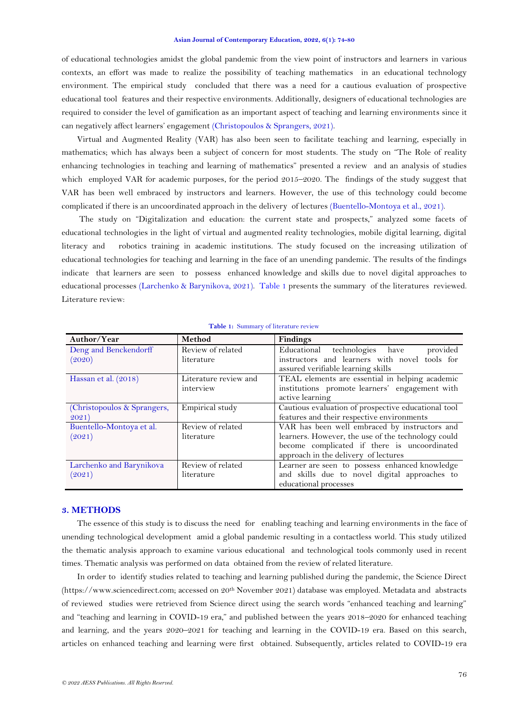#### **Asian Journal of Contemporary Education, 2022, 6(1): 74-80**

of educational technologies amidst the global pandemic from the view point of instructors and learners in various contexts, an effort was made to realize the possibility of teaching mathematics in an educational technology environment. The empirical study concluded that there was a need for a cautious evaluation of prospective educational tool features and their respective environments. Additionally, designers of educational technologies are required to consider the level of gamification as an important aspect of teaching and learning environments since it can negatively affect learners' engagement [\(Christopoulos & Sprangers, 2021\)](#page-5-2).

Virtual and Augmented Reality (VAR) has also been seen to facilitate teaching and learning, especially in mathematics; which has always been a subject of concern for most students. The study on "The Role of reality enhancing technologies in teaching and learning of mathematics" presented a review and an analysis of studies which employed VAR for academic purposes, for the period 2015–2020. The findings of the study suggest that VAR has been well embraced by instructors and learners. However, the use of this technology could become complicated if there is an uncoordinated approach in the delivery of lectures [\(Buentello-Montoya et al., 2021\)](#page-5-1).

The study on "Digitalization and education: the current state and prospects," analyzed some facets of educational technologies in the light of virtual and augmented reality technologies, mobile digital learning, digital literacy and robotics training in academic institutions. The study focused on the increasing utilization of educational technologies for teaching and learning in the face of an unending pandemic. The results of the findings indicate that learners are seen to possess enhanced knowledge and skills due to novel digital approaches to educational processes [\(Larchenko & Barynikova, 2021\)](#page-6-3). [Table 1](#page-2-0) presents the summary of the literatures reviewed. Literature review:

<span id="page-2-0"></span>

| Author/Year                 | Method                | <b>Findings</b>                                                                     |
|-----------------------------|-----------------------|-------------------------------------------------------------------------------------|
| Deng and Benckendorff       | Review of related     | provided<br>Educational technologies have                                           |
| (2020)                      | literature            | instructors and learners with novel tools for<br>assured verifiable learning skills |
| Hassan et al. (2018)        | Literature review and | TEAL elements are essential in helping academic                                     |
|                             | interview             | institutions promote learners' engagement with<br>active learning                   |
| (Christopoulos & Sprangers, | Empirical study       | Cautious evaluation of prospective educational tool                                 |
| 2021)                       |                       | features and their respective environments                                          |
| Buentello-Montoya et al.    | Review of related     | VAR has been well embraced by instructors and                                       |
| (2021)                      | literature            | learners. However, the use of the technology could                                  |
|                             |                       | become complicated if there is uncoordinated                                        |
|                             |                       | approach in the delivery of lectures                                                |
| Larchenko and Barynikova    | Review of related     | Learner are seen to possess enhanced knowledge                                      |
| (2021)                      | literature            | and skills due to novel digital approaches to                                       |
|                             |                       | educational processes                                                               |

#### **Table 1:** Summary of literature review

## **3. METHODS**

The essence of this study is to discuss the need for enabling teaching and learning environments in the face of unending technological development amid a global pandemic resulting in a contactless world. This study utilized the thematic analysis approach to examine various educational and technological tools commonly used in recent times. Thematic analysis was performed on data obtained from the review of related literature.

In order to identify studies related to teaching and learning published during the pandemic, the Science Direct (https://www.sciencedirect.com; accessed on 20<sup>th</sup> November 2021) database was employed. Metadata and abstracts of reviewed studies were retrieved from Science direct using the search words "enhanced teaching and learning" and "teaching and learning in COVID-19 era," and published between the years 2018–2020 for enhanced teaching and learning, and the years 2020–2021 for teaching and learning in the COVID-19 era. Based on this search, articles on enhanced teaching and learning were first obtained. Subsequently, articles related to COVID-19 era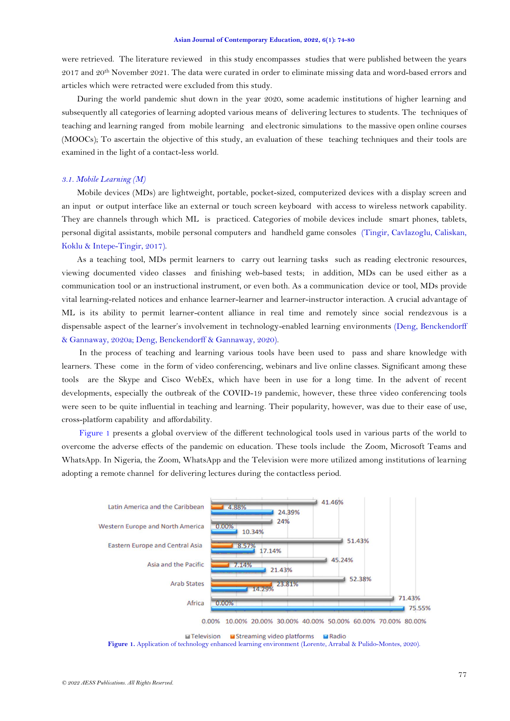were retrieved. The literature reviewed in this study encompasses studies that were published between the years 2017 and 20th November 2021. The data were curated in order to eliminate missing data and word-based errors and articles which were retracted were excluded from this study.

During the world pandemic shut down in the year 2020, some academic institutions of higher learning and subsequently all categories of learning adopted various means of delivering lectures to students. The techniques of teaching and learning ranged from mobile learning and electronic simulations to the massive open online courses (MOOCs); To ascertain the objective of this study, an evaluation of these teaching techniques and their tools are examined in the light of a contact-less world.

#### *3.1. Mobile Learning (M)*

Mobile devices (MDs) are lightweight, portable, pocket-sized, computerized devices with a display screen and an input or output interface like an external or touch screen keyboard with access to wireless network capability. They are channels through which ML is practiced. Categories of mobile devices include smart phones, tablets, personal digital assistants, mobile personal computers and handheld game consoles [\(Tingir, Cavlazoglu, Caliskan,](#page-6-5)  Koklu [& Intepe-Tingir, 2017\)](#page-6-5).

As a teaching tool, MDs permit learners to carry out learning tasks such as reading electronic resources, viewing documented video classes and finishing web-based tests; in addition, MDs can be used either as a communication tool or an instructional instrument, or even both. As a communication device or tool, MDs provide vital learning-related notices and enhance learner-learner and learner-instructor interaction. A crucial advantage of ML is its ability to permit learner-content alliance in real time and remotely since social rendezvous is a dispensable aspect of the learner's involvement in technology-enabled learning environments [\(Deng, Benckendorff](#page-5-5) [& Gannaway, 2020a;](#page-5-5) [Deng, Benckendorff](#page-5-6) & Gannaway, 2020).

In the process of teaching and learning various tools have been used to pass and share knowledge with learners. These come in the form of video conferencing, webinars and live online classes. Significant among these tools are the Skype and Cisco WebEx, which have been in use for a long time. In the advent of recent developments, especially the outbreak of the COVID-19 pandemic, however, these three video conferencing tools were seen to be quite influential in teaching and learning. Their popularity, however, was due to their ease of use, cross-platform capability and affordability.

[Figure 1](#page-3-0) presents a global overview of the different technological tools used in various parts of the world to overcome the adverse effects of the pandemic on education. These tools include the Zoom, Microsoft Teams and WhatsApp. In Nigeria, the Zoom, WhatsApp and the Television were more utilized among institutions of learning adopting a remote channel for delivering lectures during the contactless period.



<span id="page-3-0"></span>**Figure 1.** Application of technology enhanced learning environment (Lorente, Arrabal [& Pulido-Montes, 2020\)](#page-6-6).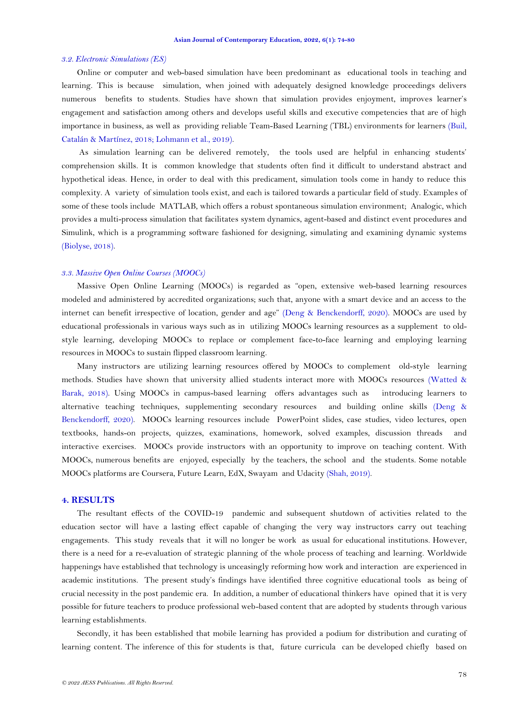#### *3.2. Electronic Simulations (ES)*

Online or computer and web-based simulation have been predominant as educational tools in teaching and learning. This is because simulation, when joined with adequately designed knowledge proceedings delivers numerous benefits to students. Studies have shown that simulation provides enjoyment, improves learner's engagement and satisfaction among others and develops useful skills and executive competencies that are of high importance in business, as well as providing reliable Team-Based Learning (TBL) environments for learners [\(Buil,](#page-5-7)  Catalán [& Martínez, 2018;](#page-5-7) [Lohmann et al., 2019\)](#page-6-7).

As simulation learning can be delivered remotely, the tools used are helpful in enhancing students' comprehension skills. It is common knowledge that students often find it difficult to understand abstract and hypothetical ideas. Hence, in order to deal with this predicament, simulation tools come in handy to reduce this complexity. A variety of simulation tools exist, and each is tailored towards a particular field of study. Examples of some of these tools include MATLAB, which offers a robust spontaneous simulation environment; Analogic, which provides a multi-process simulation that facilitates system dynamics, agent-based and distinct event procedures and Simulink, which is a programming software fashioned for designing, simulating and examining dynamic systems [\(Biolyse, 2018\)](#page-5-8).

### *3.3. Massive Open Online Courses (MOOCs)*

Massive Open Online Learning (MOOCs) is regarded as "open, extensive web-based learning resources modeled and administered by accredited organizations; such that, anyone with a smart device and an access to the internet can benefit irrespective of location, gender and age" [\(Deng & Benckendorff, 2020\)](#page-5-4). MOOCs are used by educational professionals in various ways such as in utilizing MOOCs learning resources as a supplement to oldstyle learning, developing MOOCs to replace or complement face-to-face learning and employing learning resources in MOOCs to sustain flipped classroom learning.

Many instructors are utilizing learning resources offered by MOOCs to complement old-style learning methods. Studies have shown that university allied students interact more with MOOCs resources [\(Watted &](#page-6-8)  [Barak, 2018\)](#page-6-8). Using MOOCs in campus-based learning offers advantages such as introducing learners to alternative teaching techniques, supplementing secondary resources and building online skills [\(Deng &](#page-5-4) [Benckendorff, 2020\)](#page-5-4). MOOCs learning resources include PowerPoint slides, case studies, video lectures, open textbooks, hands-on projects, quizzes, examinations, homework, solved examples, discussion threads and interactive exercises. MOOCs provide instructors with an opportunity to improve on teaching content. With MOOCs, numerous benefits are enjoyed, especially by the teachers, the school and the students. Some notable MOOCs platforms are Coursera, Future Learn, EdX, Swayam and Udacity [\(Shah, 2019\)](#page-6-9).

## **4. RESULTS**

The resultant effects of the COVID-19 pandemic and subsequent shutdown of activities related to the education sector will have a lasting effect capable of changing the very way instructors carry out teaching engagements. This study reveals that it will no longer be work as usual for educational institutions. However, there is a need for a re-evaluation of strategic planning of the whole process of teaching and learning. Worldwide happenings have established that technology is unceasingly reforming how work and interaction are experienced in academic institutions. The present study's findings have identified three cognitive educational tools as being of crucial necessity in the post pandemic era. In addition, a number of educational thinkers have opined that it is very possible for future teachers to produce professional web-based content that are adopted by students through various learning establishments.

Secondly, it has been established that mobile learning has provided a podium for distribution and curating of learning content. The inference of this for students is that, future curricula can be developed chiefly based on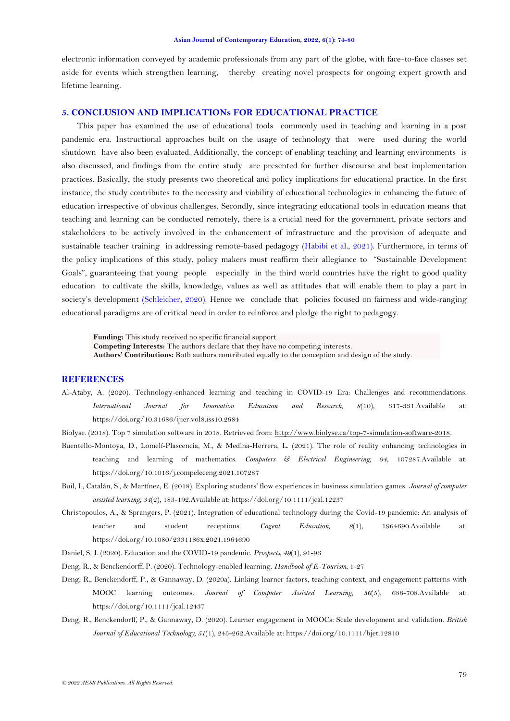electronic information conveyed by academic professionals from any part of the globe, with face-to-face classes set aside for events which strengthen learning, thereby creating novel prospects for ongoing expert growth and lifetime learning.

## **5. CONCLUSION AND IMPLICATIONs FOR EDUCATIONAL PRACTICE**

This paper has examined the use of educational tools commonly used in teaching and learning in a post pandemic era. Instructional approaches built on the usage of technology that were used during the world shutdown have also been evaluated. Additionally, the concept of enabling teaching and learning environments is also discussed, and findings from the entire study are presented for further discourse and best implementation practices. Basically, the study presents two theoretical and policy implications for educational practice. In the first instance, the study contributes to the necessity and viability of educational technologies in enhancing the future of education irrespective of obvious challenges. Secondly, since integrating educational tools in education means that teaching and learning can be conducted remotely, there is a crucial need for the government, private sectors and stakeholders to be actively involved in the enhancement of infrastructure and the provision of adequate and sustainable teacher training in addressing remote-based pedagogy [\(Habibi et al., 2021\)](#page-6-10). Furthermore, in terms of the policy implications of this study, policy makers must reaffirm their allegiance to "Sustainable Development Goals", guaranteeing that young people especially in the third world countries have the right to good quality education to cultivate the skills, knowledge, values as well as attitudes that will enable them to play a part in society's development [\(Schleicher, 2020\)](#page-6-11). Hence we conclude that policies focused on fairness and wide-ranging educational paradigms are of critical need in order to reinforce and pledge the right to pedagogy.

**Funding:** This study received no specific financial support. **Competing Interests:** The authors declare that they have no competing interests. **Authors' Contributions:** Both authors contributed equally to the conception and design of the study.

# **REFERENCES**

<span id="page-5-0"></span>Al-Ataby, A. (2020). Technology-enhanced learning and teaching in COVID-19 Era: Challenges and recommendations. *International Journal for Innovation Education and Research, 8*(10), 317-331.Available at: https://doi.org/10.31686/ijier.vol8.iss10.2684

<span id="page-5-8"></span>Biolyse. (2018). Top 7 simulation software in 2018. Retrieved from: [http://www.biolyse.ca/top-7-simulation-software-2018.](http://www.biolyse.ca/top-7-simulation-software-2018) 

- <span id="page-5-1"></span>Buentello-Montoya, D., Lomelí-Plascencia, M., & Medina-Herrera, L. (2021). The role of reality enhancing technologies in teaching and learning of mathematics. *Computers & Electrical Engineering, 94*, 107287.Available at: https://doi.org/10.1016/j.compeleceng.2021.107287
- <span id="page-5-7"></span>Buil, I., Catalán, S., & Martínez, E. (2018). Exploring students' flow experiences in business simulation games. *Journal of computer assisted learning, 34*(2), 183-192.Available at: https://doi.org/10.1111/jcal.12237
- <span id="page-5-2"></span>Christopoulos, A., & Sprangers, P. (2021). Integration of educational technology during the Covid-19 pandemic: An analysis of teacher and student receptions. *Cogent Education, 8*(1), 1964690.Available at: https://doi.org/10.1080/2331186x.2021.1964690
- <span id="page-5-3"></span>Daniel, S. J. (2020). Education and the COVID-19 pandemic. *Prospects, 49*(1), 91-96
- <span id="page-5-4"></span>Deng, R., & Benckendorff, P. (2020). Technology-enabled learning. *Handbook of E-Tourism*, 1-27
- <span id="page-5-5"></span>Deng, R., Benckendorff, P., & Gannaway, D. (2020a). Linking learner factors, teaching context, and engagement patterns with MOOC learning outcomes. *Journal of Computer Assisted Learning, 36*(5), 688-708.Available at: https://doi.org/10.1111/jcal.12437
- <span id="page-5-6"></span>Deng, R., Benckendorff, P., & Gannaway, D. (2020). Learner engagement in MOOCs: Scale development and validation. *British Journal of Educational Technology, 51*(1), 245-262.Available at: https://doi.org/10.1111/bjet.12810